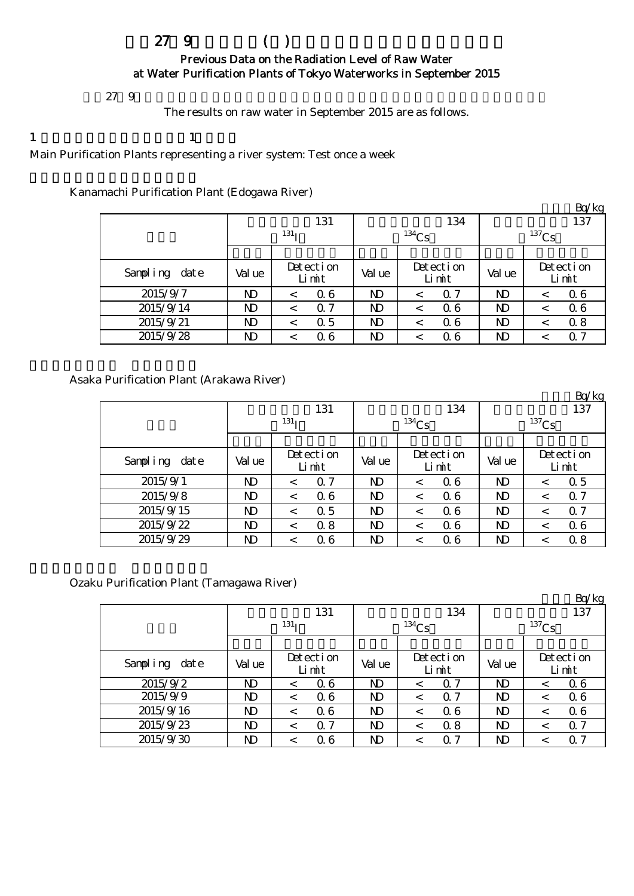# $279$  ( )

### Previous Data on the Radiation Level of Raw Water at Water Purification Plants of Tokyo Waterworks in September 2015

 $279$ 

The results on raw water in September 2015 are as follows.

1  $\qquad \qquad$  1

Main Purification Plants representing a river system: Test once a week

Kanamachi Purification Plant (Edogawa River)

|               |              |                    |                |                    |          | Bq/kg              |  |  |  |
|---------------|--------------|--------------------|----------------|--------------------|----------|--------------------|--|--|--|
|               |              | 131                |                | 134                |          | 137                |  |  |  |
|               |              | 131 <sub>T</sub>   |                | $134$ Cs           | $137$ Cs |                    |  |  |  |
|               |              |                    |                |                    |          |                    |  |  |  |
| Sampling date | Val ue       | Detection<br>Limit | Val ue         | Detection<br>Limit | Val ue   | Detection<br>Limit |  |  |  |
| 2015/9/7      | $\mathbf{D}$ | 06<br>$\,<\,$      | N <sub>D</sub> | $\alpha$ 7         | ND       | 06                 |  |  |  |
| 2015/9/14     | $\mathbf{D}$ | $\alpha$ 7<br><    | N)             | 06                 | ND       | 06<br><            |  |  |  |
| 2015/9/21     | $\mathbf{D}$ | $\alpha$ 5<br><    | $\mathbf{D}$   | 06                 | ND       | 0.8<br><           |  |  |  |
| 2015/9/28     | ND           | 06                 | ND             | 06                 | ND       | 0.7                |  |  |  |

Asaka Purification Plant (Arakawa River)

|               |        |                    |                |                    |          | $\mathbf{D}$ $\mathbf{U}$ $\mathbf{K}$ $\mathbf{E}$ |  |  |
|---------------|--------|--------------------|----------------|--------------------|----------|-----------------------------------------------------|--|--|
|               |        | 131                |                | 134                | 137      |                                                     |  |  |
|               |        | 131 <sub>T</sub>   |                | $134$ Cs           | $137$ Cs |                                                     |  |  |
|               |        |                    |                |                    |          |                                                     |  |  |
| Sampling date | Val ue | Detection<br>Limit | Val ue         | Detection<br>Limit | Val ue   | Detection<br>Limit                                  |  |  |
| 2015/9/1      | ND     | $\Omega$ 7<br><    | N <sub>D</sub> | 06                 | ND       | 0.5<br><                                            |  |  |
| 2015/9/8      | ND     | 06<br><            | $\mathbf{D}$   | 06                 | ND       | 0.7<br><                                            |  |  |
| 2015/9/15     | ND     | $\alpha$ 5<br><    | N)             | 06                 | ND       | 0.7<br><                                            |  |  |
| 2015/9/22     | ND     | 0.8<br>$\,<\,$     | N)             | 06                 | ND       | 06                                                  |  |  |
| 2015/9/29     | ND     | 06<br><            | ND             | Q 6                | ND       | 0.8                                                 |  |  |

 $D = \sqrt{1 - \epsilon}$ 

Ozaku Purification Plant (Tamagawa River)

|               |        |                     |                |                    |                            | Bq/kg              |  |  |
|---------------|--------|---------------------|----------------|--------------------|----------------------------|--------------------|--|--|
|               |        | 131                 |                | 134                | 137<br>$^{137}\mathrm{Cs}$ |                    |  |  |
|               |        | 131 <sub>T</sub>    |                | $^{134}Cs$         |                            |                    |  |  |
|               |        |                     |                |                    |                            |                    |  |  |
| Sampling date | Val ue | Detection<br>Limit  | Val ue         | Detection<br>Limit | Val ue                     | Detection<br>Limit |  |  |
| 2015/9/2      | ND     | 06<br><             | ND             | -7<br>$\Omega$     | ND                         | 06<br><            |  |  |
| 2015/9/9      | ND     | 06<br>$\,<\,$       | ND             | $\alpha$ 7         | ND                         | 06<br><            |  |  |
| 2015/9/16     | ND     | 06<br><             | N <sub>D</sub> | 06<br><            | $\mathbf{D}$               | 06<br>$\,<\,$      |  |  |
| 2015/9/23     | ND     | $\alpha$ 7<br>$\,<$ | ND             | 0.8                | ND                         | 0.7<br><           |  |  |
| 2015/9/30     | ND     | 06                  | $\mathbf{D}$   | $\alpha$ 7         | ND                         | 0.7<br><           |  |  |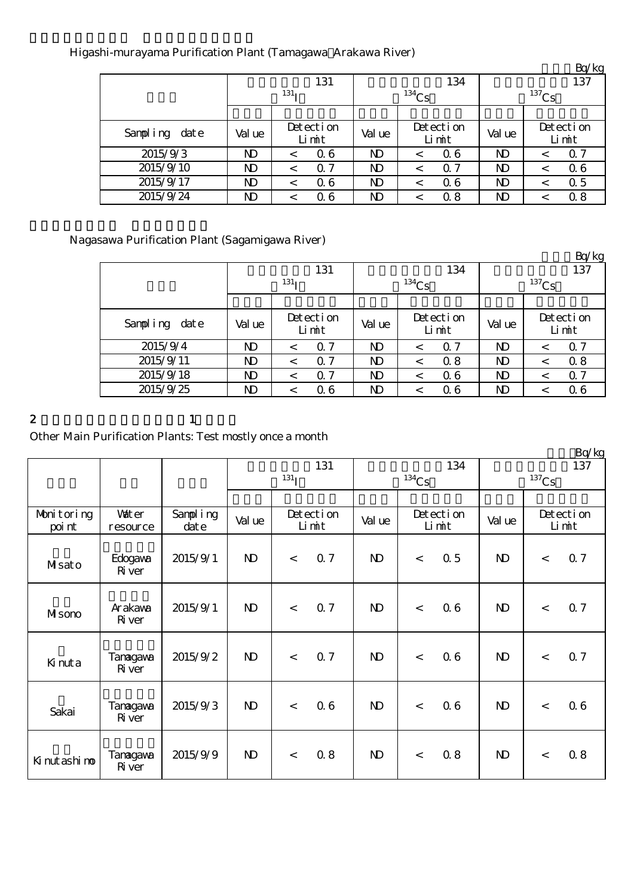## Higashi-murayama Purification Plant (Tamagawa Arakawa River)

|               |        |                       |                |                    |          | $L_V$ $R_S$        |  |  |
|---------------|--------|-----------------------|----------------|--------------------|----------|--------------------|--|--|
|               |        | 131                   |                | 134                | 137      |                    |  |  |
|               |        | 131 <sub>T</sub>      |                | $134$ Cs           | $137$ Cs |                    |  |  |
|               |        |                       |                |                    |          |                    |  |  |
| Sampling date | Val ue | Detection<br>Limit    | Val ue         | Detection<br>Limit | Val ue   | Detection<br>Limit |  |  |
| 2015/9/3      | ND     | 06<br><               | N <sub>D</sub> | 06                 | ND       | 0.7<br><           |  |  |
| 2015/9/10     | ND     | $\alpha$ 7<br>$\,<\,$ | ND             | $\Omega$ 7         | ND       | 06<br><            |  |  |
| 2015/9/17     | ND     | 06<br>$\,<\,$         | ND             | 06                 | ND       | 0.5<br><           |  |  |
| 2015/9/24     | ND     | Q 6<br><              | ND             | 0.8                | ND       | 0.8                |  |  |

## Nagasawa Purification Plant (Sagamigawa River)

|               |              |                       |        |                       |                 | Bq/kg                 |  |  |
|---------------|--------------|-----------------------|--------|-----------------------|-----------------|-----------------------|--|--|
|               |              | 131                   |        | 134                   | 137<br>$137$ Cs |                       |  |  |
|               |              | 131 <sub>T</sub>      |        | $134$ Cs              |                 |                       |  |  |
|               |              |                       |        |                       |                 |                       |  |  |
| Sampling date | Val ue       | Detection<br>Limit    | Val ue | Detection<br>Limit    | Val ue          | Detection<br>Limit    |  |  |
| 2015/9/4      | ND           | Q 7<br>$\,<\,$        | ND     | $\Omega$ 7<br>$\,<\,$ | ND              | $\alpha$ 7<br>$\,<\,$ |  |  |
| 2015/9/11     | $\mathbf{D}$ | $\Omega$ 7<br>$\,<\,$ | ND     | 0.8<br><              | ND              | 0.8<br><              |  |  |
| 2015/9/18     | $\mathbf{D}$ | $\alpha$ 7<br><       | ND     | 06<br>$\,<\,$         | ND              | $\alpha$ 7<br><       |  |  |
| 2015/9/25     | ND           | 06                    | ND     | 06                    | ND              | Q 6                   |  |  |

#### 2 and  $\lambda$  1

## Other Main Purification Plants: Test mostly once a month

|                      |                           |                      |              |                  |                    |              |                    |     |              |                     | Bq/kg              |
|----------------------|---------------------------|----------------------|--------------|------------------|--------------------|--------------|--------------------|-----|--------------|---------------------|--------------------|
|                      |                           |                      | 131          |                  |                    |              |                    | 134 | 137          |                     |                    |
|                      |                           |                      |              | 131 <sub>I</sub> |                    |              | $134$ Cs           |     |              | $^{137}\mathrm{Cs}$ |                    |
|                      |                           |                      |              |                  |                    |              |                    |     |              |                     |                    |
| Monitoring<br>poi nt | <b>Vater</b><br>resource  | Sampling<br>$\det e$ | Val ue       |                  | Detection<br>Limit | Val ue       | Detection<br>Limit |     | Val ue       |                     | Detection<br>Limit |
| Masato               | Edogava<br>River          | 2015/9/1             | $\mathbf{D}$ | $\lt$            | 0.7                | $\mathbf{D}$ | $\,<$              | 0.5 | $\mathbf{D}$ | $\,<\,$             | 0.7                |
| MIsono               | Arakawa<br>River          | 2015/9/1             | $\mathbf{D}$ | $\lt$            | 0.7                | $\mathbf{D}$ | $\lt$              | 06  | $\mathbf{N}$ | $\,<\,$             | 0.7                |
| Kinuta               | Tanagawa<br>River         | 2015/9/2             | $\mathbf{D}$ | $\lt$            | <b>Q</b> 7         | $\mathbf{D}$ | $\lt$              | 06  | $\mathbf{D}$ | $\,<\,$             | 0.7                |
| Sakai                | Tanagawa<br>River         | 2015/9/3             | $\mathbf{D}$ | $\lt$            | 06                 | $\mathbf{D}$ | $\lt$              | 06  | $\mathbf{N}$ | $\,<$               | 06                 |
| Ki nut ashi no       | Tanagawa<br><b>R</b> iver | 2015/9/9             | $\mathbf{D}$ | $\,<\,$          | 0.8                | $\mathbf{D}$ | $\,<$              | 0.8 | $\mathbf{N}$ | $\,<\,$             | 0.8                |

 $R_0/k_0$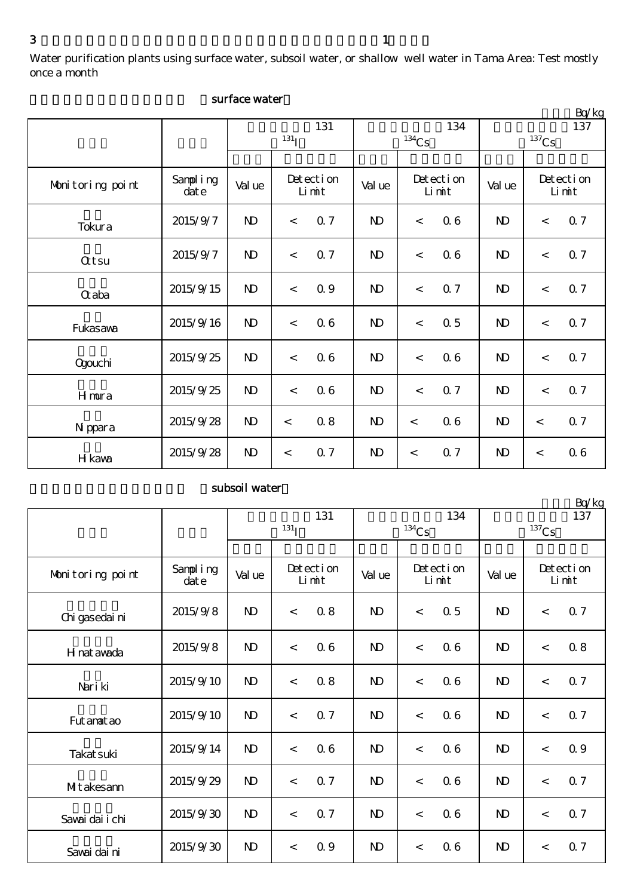Water purification plants using surface water, subsoil water, or shallow well water in Tama Area: Test mostly once a month

|                  |                      |              |                    |            |              |                     |     |                     |       | Bq/kg              |  |
|------------------|----------------------|--------------|--------------------|------------|--------------|---------------------|-----|---------------------|-------|--------------------|--|
|                  |                      | 131          |                    |            |              |                     | 134 | 137                 |       |                    |  |
|                  |                      |              | 131 <sub>I</sub>   |            |              | $^{134}\mathrm{Cs}$ |     | $^{137}\mathrm{Cs}$ |       |                    |  |
|                  |                      |              |                    |            |              |                     |     |                     |       |                    |  |
| Monitoring point | Sampling<br>$\det e$ | Val ue       | Detection<br>Limit |            | Val ue       | Detection<br>Limit  |     | Val ue              |       | Detection<br>Limit |  |
| Tokura           | 2015/9/7             | $\mathbf{N}$ | $\,<\,$            | <b>Q</b> 7 | $\mathbf{D}$ | $\lt$               | 06  | $\mathbf{D}$        | $\lt$ | 0.7                |  |
| <b>Qtsu</b>      | 2015/9/7             | $\mathbf{D}$ | $\,<\,$            | 0.7        | $\mathbf{D}$ | $\,<$               | 06  | $\mathbf{D}$        | $\,<$ | 0.7                |  |
| $\alpha$ aba     | 2015/9/15            | $\mathbf{D}$ | $\prec$            | <b>Q</b> 9 | $\mathbf{D}$ | $\prec$             | 0.7 | $\mathbf{D}$        | $\lt$ | 0.7                |  |
| Fukasawa         | 2015/9/16            | $\mathbf{D}$ | $\prec$            | 06         | $\mathbf{D}$ | $\prec$             | 0.5 | $\mathbf{D}$        | $\lt$ | 0.7                |  |
| <b>Ogouchi</b>   | 2015/9/25            | $\mathbf{D}$ | $\prec$            | 06         | $\mathbf{D}$ | $\lt$               | 06  | $\mathbf{D}$        | $\lt$ | 0.7                |  |
| Hmura            | 2015/9/25            | $\mathbf{D}$ | $\prec$            | 06         | $\mathbf{D}$ | $\prec$             | 0.7 | $\mathbf{D}$        | $\lt$ | 0.7                |  |
| N ppara          | 2015/9/28            | $\mathbf{D}$ | $\,<\,$            | 0.8        | $\mathbf{D}$ | $\lt$               | 06  | $\mathbf{D}$        | $\,<$ | 0.7                |  |
| H kawa           | 2015/9/28            | $\mathbf{D}$ | $\,<\,$            | 0.7        | $\mathbf{D}$ | $\lt$               | 0.7 | $\mathbf{D}$        | $\,<$ | 06                 |  |

#### surface water

#### subsoil water

大量 化二十二碳烷 计数据 医心脏病 医心脏病 医心脏病 医心脏病 Sampling<br>date date Value Letection Value Letection Value  $2015/9/8$  ND < 0.8 | ND < 0.5 | ND < 0.7  $2015/9/8$  ND < 0.6 ND < 0.6 ND < 0.8  $2015/9/10$  ND <  $0.8$  ND <  $0.6$  ND <  $0.7$  $2015/9/10$  ND < 0.7 ND < 0.6 ND < 0.7  $2015/9/14$  ND < 0.6 ND < 0.6 ND < 0.9  $2015/9/29$  ND < 0.7 ND < 0.6 ND < 0.7  $2015/9/30$  ND < 0.7 ND < 0.6 ND < 0.7  $2015/9/30$  ND < 0.9 ND < 0.6 ND < 0.7 Fut anat ao Nariki 放射性ヨウ素131  $131<sub>I</sub>$ Sawai dai ni Takatsuki H nat awada 放射性セシウム137  $137$ Cs 放射性セシウム134  $134$ Cs Detection Limit 検出限界値 検出限界値 検出限界値 Monitoring point  $\begin{array}{|c|c|c|c|c|} \hline \text{Sampling} & \text{Value} & \text{Detection} \end{array}$ Limit Detection Limit 浄水所 採水日 Sawai dai i chi Chigasedaini Mitakesann

Bq/kg